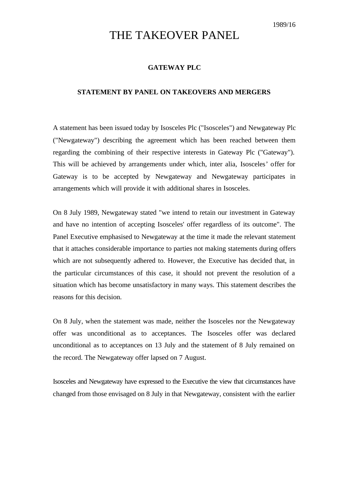## THE TAKEOVER PANEL

## **GATEWAY PLC**

## **STATEMENT BY PANEL ON TAKEOVERS AND MERGERS**

A statement has been issued today by Isosceles Plc ("Isosceles") and Newgateway Plc ("Newgateway") describing the agreement which has been reached between them regarding the combining of their respective interests in Gateway Plc ("Gateway"). This will be achieved by arrangements under which, inter alia, Isosceles' offer for Gateway is to be accepted by Newgateway and Newgateway participates in arrangements which will provide it with additional shares in Isosceles.

On 8 July 1989, Newgateway stated "we intend to retain our investment in Gateway and have no intention of accepting Isosceles' offer regardless of its outcome". The Panel Executive emphasised to Newgateway at the time it made the relevant statement that it attaches considerable importance to parties not making statements during offers which are not subsequently adhered to. However, the Executive has decided that, in the particular circumstances of this case, it should not prevent the resolution of a situation which has become unsatisfactory in many ways. This statement describes the reasons for this decision.

On 8 July, when the statement was made, neither the Isosceles nor the Newgateway offer was unconditional as to acceptances. The Isosceles offer was declared unconditional as to acceptances on 13 July and the statement of 8 July remained on the record. The Newgateway offer lapsed on 7 August.

Isosceles and Newgateway have expressed to the Executive the view that circumstances have changed from those envisaged on 8 July in that Newgateway, consistent with the earlier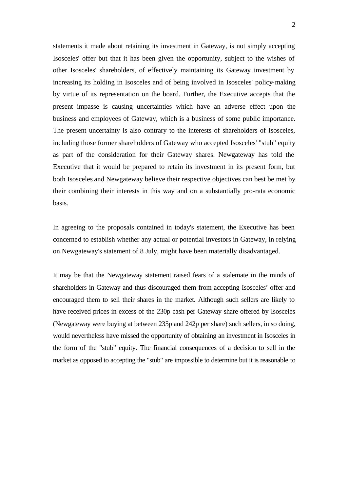statements it made about retaining its investment in Gateway, is not simply accepting Isosceles' offer but that it has been given the opportunity, subject to the wishes of other Isosceles' shareholders, of effectively maintaining its Gateway investment by increasing its holding in Isosceles and of being involved in Isosceles' policy-making by virtue of its representation on the board. Further, the Executive accepts that the present impasse is causing uncertainties which have an adverse effect upon the business and employees of Gateway, which is a business of some public importance. The present uncertainty is also contrary to the interests of shareholders of Isosceles, including those former shareholders of Gateway who accepted Isosceles' "stub" equity as part of the consideration for their Gateway shares. Newgateway has told the Executive that it would be prepared to retain its investment in its present form, but both Isosceles and Newgateway believe their respective objectives can best be met by their combining their interests in this way and on a substantially pro-rata economic basis.

In agreeing to the proposals contained in today's statement, the Executive has been concerned to establish whether any actual or potential investors in Gateway, in relying on Newgateway's statement of 8 July, might have been materially disadvantaged.

It may be that the Newgateway statement raised fears of a stalemate in the minds of shareholders in Gateway and thus discouraged them from accepting Isosceles' offer and encouraged them to sell their shares in the market. Although such sellers are likely to have received prices in excess of the 230p cash per Gateway share offered by Isosceles (Newgateway were buying at between 235p and 242p per share) such sellers, in so doing, would nevertheless have missed the opportunity of obtaining an investment in Isosceles in the form of the "stub" equity. The financial consequences of a decision to sell in the market as opposed to accepting the "stub" are impossible to determine but it is reasonable to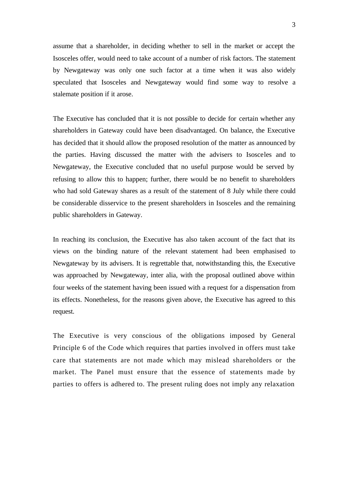assume that a shareholder, in deciding whether to sell in the market or accept the Isosceles offer, would need to take account of a number of risk factors. The statement by Newgateway was only one such factor at a time when it was also widely speculated that Isosceles and Newgateway would find some way to resolve a stalemate position if it arose.

The Executive has concluded that it is not possible to decide for certain whether any shareholders in Gateway could have been disadvantaged. On balance, the Executive has decided that it should allow the proposed resolution of the matter as announced by the parties. Having discussed the matter with the advisers to Isosceles and to Newgateway, the Executive concluded that no useful purpose would be served by refusing to allow this to happen; further, there would be no benefit to shareholders who had sold Gateway shares as a result of the statement of 8 July while there could be considerable disservice to the present shareholders in Isosceles and the remaining public shareholders in Gateway.

In reaching its conclusion, the Executive has also taken account of the fact that its views on the binding nature of the relevant statement had been emphasised to Newgateway by its advisers. It is regrettable that, notwithstanding this, the Executive was approached by Newgateway, inter alia, with the proposal outlined above within four weeks of the statement having been issued with a request for a dispensation from its effects. Nonetheless, for the reasons given above, the Executive has agreed to this request.

The Executive is very conscious of the obligations imposed by General Principle 6 of the Code which requires that parties involved in offers must take care that statements are not made which may mislead shareholders or the market. The Panel must ensure that the essence of statements made by parties to offers is adhered to. The present ruling does not imply any relaxation